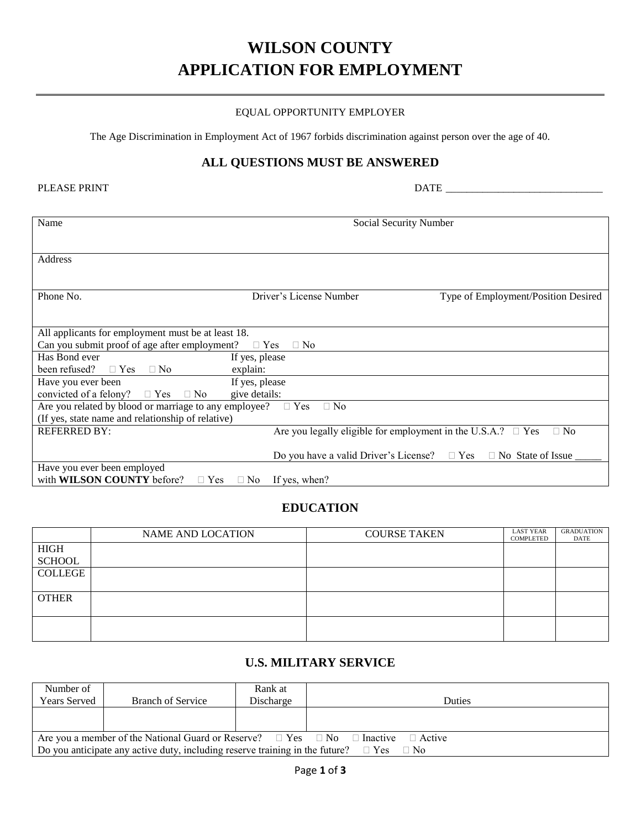# **WILSON COUNTY APPLICATION FOR EMPLOYMENT**

#### EQUAL OPPORTUNITY EMPLOYER

The Age Discrimination in Employment Act of 1967 forbids discrimination against person over the age of 40.

#### **ALL QUESTIONS MUST BE ANSWERED**

| <b>PLEASE PRINT</b> |  |
|---------------------|--|
|---------------------|--|

PLEASE PRINT DATE \_\_\_\_\_\_\_\_\_\_\_\_\_\_\_\_\_\_\_\_\_\_\_\_\_\_\_\_\_\_

| Name                                                                | Social Security Number                                            |                                     |
|---------------------------------------------------------------------|-------------------------------------------------------------------|-------------------------------------|
|                                                                     |                                                                   |                                     |
|                                                                     |                                                                   |                                     |
| Address                                                             |                                                                   |                                     |
|                                                                     |                                                                   |                                     |
|                                                                     |                                                                   |                                     |
| Phone No.                                                           | Driver's License Number                                           | Type of Employment/Position Desired |
|                                                                     |                                                                   |                                     |
|                                                                     |                                                                   |                                     |
| All applicants for employment must be at least 18.                  |                                                                   |                                     |
| Can you submit proof of age after employment?<br>$\Box$ Yes         | $\Box$ No                                                         |                                     |
| Has Bond ever<br>If yes, please                                     |                                                                   |                                     |
| been refused?<br>$\Box$ Yes $\Box$ No<br>explain:                   |                                                                   |                                     |
| If yes, please<br>Have you ever been                                |                                                                   |                                     |
| convicted of a felony?<br>give details:<br>$\Box$ Yes $\Box$ No     |                                                                   |                                     |
| Are you related by blood or marriage to any employee? $\square$ Yes | $\Box$ No                                                         |                                     |
| (If yes, state name and relationship of relative)                   |                                                                   |                                     |
| <b>REFERRED BY:</b>                                                 | Are you legally eligible for employment in the U.S.A.? $\Box$ Yes | $\Box$ No                           |
|                                                                     |                                                                   |                                     |
|                                                                     | Do you have a valid Driver's License? $\square$ Yes               | $\Box$ No State of Issue            |
| Have you ever been employed                                         |                                                                   |                                     |
| with <b>WILSON COUNTY</b> before? $\Box$ Yes                        | $\Box$ No If yes, when?                                           |                                     |

### **EDUCATION**

|               | <b>NAME AND LOCATION</b> | <b>COURSE TAKEN</b> | <b>LAST YEAR</b><br>COMPLETED | <b>GRADUATION</b><br>DATE |
|---------------|--------------------------|---------------------|-------------------------------|---------------------------|
| <b>HIGH</b>   |                          |                     |                               |                           |
| <b>SCHOOL</b> |                          |                     |                               |                           |
| COLLEGE       |                          |                     |                               |                           |
| <b>OTHER</b>  |                          |                     |                               |                           |
|               |                          |                     |                               |                           |

#### **U.S. MILITARY SERVICE**

| Number of                                                                                               |                          | Rank at   |               |  |  |
|---------------------------------------------------------------------------------------------------------|--------------------------|-----------|---------------|--|--|
| <b>Years Served</b>                                                                                     | <b>Branch of Service</b> | Discharge | <b>Duties</b> |  |  |
|                                                                                                         |                          |           |               |  |  |
|                                                                                                         |                          |           |               |  |  |
| Are you a member of the National Guard or Reserve? $\Box$ Yes $\Box$ No $\Box$ Inactive $\Box$ Active   |                          |           |               |  |  |
| Do you anticipate any active duty, including reserve training in the future? $\square$ Yes<br>$\Box$ No |                          |           |               |  |  |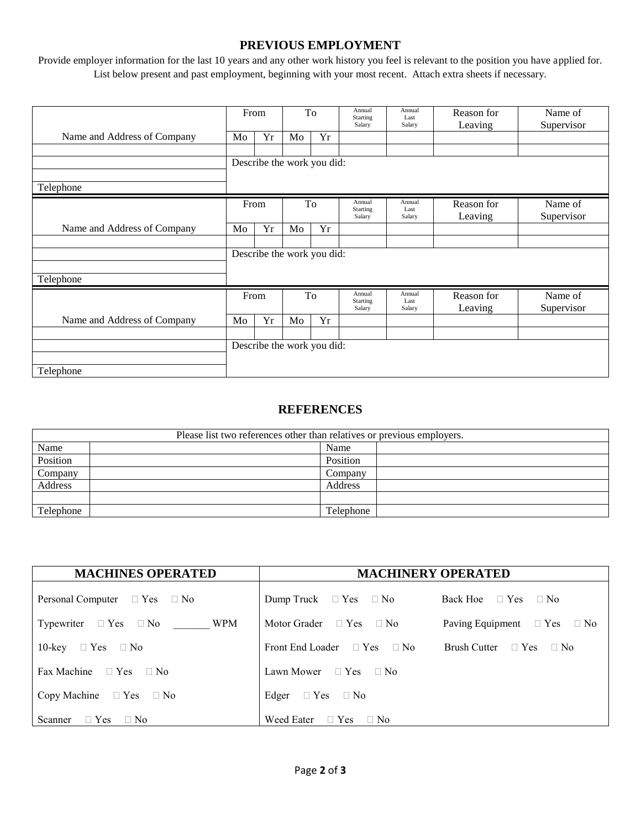#### **PREVIOUS EMPLOYMENT**

Provide employer information for the last 10 years and any other work history you feel is relevant to the position you have applied for. List below present and past employment, beginning with your most recent. Attach extra sheets if necessary.

|                             | From                       |    | To                         |                              | Annual<br>Starting<br>Salary | Annual<br>Last<br>Salary | Reason for<br>Leaving | Name of<br>Supervisor |
|-----------------------------|----------------------------|----|----------------------------|------------------------------|------------------------------|--------------------------|-----------------------|-----------------------|
| Name and Address of Company | Mo                         | Yr | Mo                         | Yr                           |                              |                          |                       |                       |
|                             |                            |    |                            |                              |                              |                          |                       |                       |
|                             |                            |    | Describe the work you did: |                              |                              |                          |                       |                       |
|                             |                            |    |                            |                              |                              |                          |                       |                       |
| Telephone                   |                            |    |                            |                              |                              |                          |                       |                       |
|                             | From<br>To                 |    |                            | Annual<br>Starting<br>Salary | Annual<br>Last<br>Salary     | Reason for<br>Leaving    | Name of<br>Supervisor |                       |
| Name and Address of Company | Mo                         | Yr | Mo                         | Yr                           |                              |                          |                       |                       |
|                             |                            |    |                            |                              |                              |                          |                       |                       |
|                             | Describe the work you did: |    |                            |                              |                              |                          |                       |                       |
|                             |                            |    |                            |                              |                              |                          |                       |                       |
| Telephone                   |                            |    |                            |                              |                              |                          |                       |                       |
|                             | From                       |    | To                         |                              | Annual<br>Starting<br>Salary | Annual<br>Last<br>Salary | Reason for<br>Leaving | Name of<br>Supervisor |
| Name and Address of Company | Mo                         | Yr | Mo                         | Yr                           |                              |                          |                       |                       |
|                             |                            |    |                            |                              |                              |                          |                       |                       |
|                             | Describe the work you did: |    |                            |                              |                              |                          |                       |                       |
|                             |                            |    |                            |                              |                              |                          |                       |                       |
| Telephone                   |                            |    |                            |                              |                              |                          |                       |                       |

#### **REFERENCES**

| Please list two references other than relatives or previous employers. |           |  |  |  |  |
|------------------------------------------------------------------------|-----------|--|--|--|--|
| Name                                                                   | Name      |  |  |  |  |
| Position                                                               | Position  |  |  |  |  |
| Company                                                                | Company   |  |  |  |  |
| Address                                                                | Address   |  |  |  |  |
|                                                                        |           |  |  |  |  |
| Telephone                                                              | Telephone |  |  |  |  |

| <b>MACHINES OPERATED</b>               | <b>MACHINERY OPERATED</b>             |                                       |  |  |
|----------------------------------------|---------------------------------------|---------------------------------------|--|--|
| Personal Computer $\Box$ Yes $\Box$ No | Dump Truck $\Box$ Yes $\Box$ No       | Back Hoe $\Box$ Yes $\Box$ No         |  |  |
| Typewriter $\Box$ Yes $\Box$ No WPM    | Motor Grader $\Box$ Yes $\Box$ No     | Paving Equipment $\Box$ Yes $\Box$ No |  |  |
| 10-key $\Box$ Yes $\Box$ No            | Front End Loader $\Box$ Yes $\Box$ No | Brush Cutter $\Box$ Yes $\Box$ No     |  |  |
| Fax Machine $\Box$ Yes $\Box$ No       | Lawn Mower $\Box$ Yes $\Box$ No       |                                       |  |  |
| Copy Machine $\Box$ Yes $\Box$ No      | Edger $\Box$ Yes $\Box$ No            |                                       |  |  |
| Scanner $\Box$ Yes $\Box$ No           | Weed Eater $\Box$ Yes $\Box$ No       |                                       |  |  |